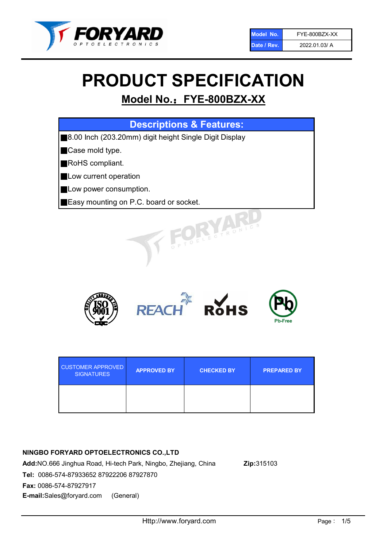

# PRODUCT SPECIFICATION

## Model No.: FYE-800BZX-XX

|  |  | <b>Descriptions &amp; Features:</b> |  |
|--|--|-------------------------------------|--|
|  |  |                                     |  |

■8.00 Inch (203.20mm) digit height Single Digit Display

■Case mold type.

■RoHS compliant.

- **Low current operation**
- **Low power consumption.**
- ■Easy mounting on P.C. board or socket.



| <b>CUSTOMER APPROVED</b><br><b>SIGNATURES</b> | <b>APPROVED BY</b> | <b>CHECKED BY</b> | <b>PREPARED BY</b> |
|-----------------------------------------------|--------------------|-------------------|--------------------|
|                                               |                    |                   |                    |

## NINGBO FORYARD OPTOELECTRONICS CO.,LTD

Add:NO.666 Jinghua Road, Hi-tech Park, Ningbo, Zhejiang, China Zip:315103 Tel: 0086-574-87933652 87922206 87927870 Fax: 0086-574-87927917 E-mail:Sales@foryard.com (General)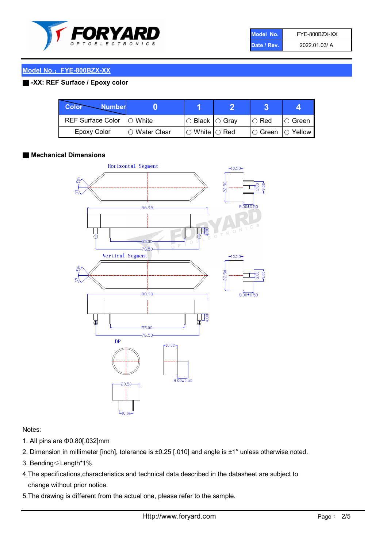

| Model No.   | FYE-800BZX-XX |
|-------------|---------------|
| Date / Rev. | 2022.01.03/ A |

## Model No.: FYE-800BZX-XX

## ■ -XX: REF Surface / Epoxy color

| Color<br><b>Number</b>     |                |                            |             |                |
|----------------------------|----------------|----------------------------|-------------|----------------|
| REF Surface Color  ○ White |                | $\circ$ Black $\circ$ Gray | $\circ$ Red | ∣O Green       |
| Epoxy Color                | I∩ Water Clear | $\circ$ White $\circ$ Red  | I⊖ Green.   | $\circ$ Yellow |

## ■ Mechanical Dimensions



#### Notes:

- 1. All pins are Φ0.80[.032]mm
- 2. Dimension in millimeter [inch], tolerance is ±0.25 [.010] and angle is ±1° unless otherwise noted.
- 3. Bending≤Length\*1%.
- 4.The specifications,characteristics and technical data described in the datasheet are subject to change without prior notice.
- 5.The drawing is different from the actual one, please refer to the sample.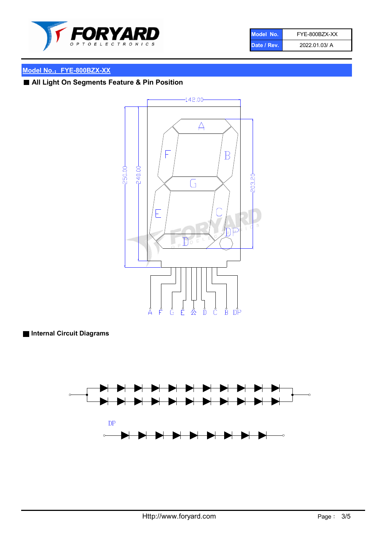

| Model No.   | FYE-800BZX-XX |
|-------------|---------------|
| Date / Rev. | 2022.01.03/ A |

## Model No.: FYE-800BZX-XX

## ■ All Light On Segments Feature & Pin Position



## ■ Internal Circuit Diagrams

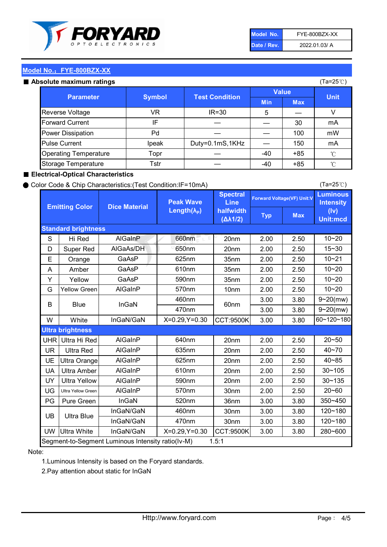

| Model No.   | FYE-800BZX-XX |
|-------------|---------------|
| Date / Rev. | 2022.01.03/ A |

(Ta=25℃)

## Model No.: FYE-800BZX-XX

#### Absolute maximum ratings

| solute maximum ratings       |               |                       |              | (Ta=25℃)   |             |
|------------------------------|---------------|-----------------------|--------------|------------|-------------|
|                              |               | <b>Test Condition</b> | <b>Value</b> |            |             |
| <b>Parameter</b>             | <b>Symbol</b> |                       | <b>Min</b>   | <b>Max</b> | <b>Unit</b> |
| Reverse Voltage              | VR.           | $IR = 30$             | 5            |            | v           |
| <b>Forward Current</b>       | IF            |                       |              | 30         | mA          |
| <b>Power Dissipation</b>     | Pd            |                       |              | 100        | mW          |
| <b>Pulse Current</b>         | Ipeak         | Duty=0.1mS,1KHz       |              | 150        | mA          |
| <b>Operating Temperature</b> | Topr          |                       | $-40$        | $+85$      | °C          |
| Storage Temperature          | Tstr          |                       | -40          | $+85$      | °C          |

## ■ Electrical-Optical Characteristics

#### ● Color Code & Chip Characteristics:(Test Condition:IF=10mA)

Typ Max S | Hi $\textsf{Red}$  | AlGaInP | 660nm LE 20nm | 2.00 | 2.50 D | Super Red | AIGaAs/DH | 650nm | 20nm | 2.00 | 2.50 E | Orange | GaAsP | 625nm | 35nm | 2.00 | 2.50 A | Amber | GaAsP | 610nm | 35nm | 2.00 | 2.50 Y | Yellow | GaAsP | 590nm | 35nm | 2.00 | 2.50 G Yellow Green AIGaInP | 570nm | 10nm | 2.00 | 2.50 3.00 3.80 3.00 3.80 W | White | InGaN/GaN | X=0.29,Y=0.30 |CCT:9500K| 3.00 | 3.80 UHR Ultra Hi Red | AlGaInP | 640nm | 20nm | 2.00 | 2.50 UR | Ultra Red | AlGaInP | 635nm | 20nm | 2.00 | 2.50 UE Ultra Orange | AIGaInP | 625nm | 20nm | 2.00 | 2.50 UA Ultra Amber | AIGaInP | 610nm | 20nm | 2.00 | 2.50  $UV$  Ultra Yellow  $\vert$  AlGaInP  $\vert$  590nm  $\vert$  20nm  $\vert$  2.00  $\vert$  2.50  $\text{UG}$  Ultra Yellow Green | AIGaInP | 570nm | 30nm | 2.00 | 2.50 PG Pure Green | InGaN | 520nm | 36nm | 3.00 | 3.80 30nm 3.00 3.80 30nm 3.00 3.80 UW |Ultra White | InGaN/GaN | X=0.29,Y=0.30 |CCT:9500K| 3.00 | 3.80 10~20 Standard brightness Forward Voltage(VF) Unit:V 15~30 10~20 10~20 625nm GaAsP 590nm **Emitting Color Dice Material** 10~21 610nm Luminous **Intensity** (Iv) Unit:mcd AlGainP 660nm GaAsP GaAsP AlGaAs/DH **Spectral** Line halfwidth (∆λ1/2) Peak Wave Length $(\lambda_{\rm P})$ UB 460nm 635nm AlGaInP AlGaInP AlGaInP InGaN/GaN AlGaInP | 570nm | 10nm | 2.00 | 2.50 | 10~20 30~105 30~135 460nm 520nm Ultra brightness **AlGaInP** AlGaInP 60nm AlGaInP 640nm Segment-to-Segment Luminous Intensity ratio(Iv-M) 1.5:1 610nm 9~20(mw) 350~450 470nm 120~180 120~180 Ultra Blue InGaN/GaN InGaN/GaN 9~20(mw) 20~50 280~600 570nm | 30nm | 2.00 | 2.50 | 20~60 470nm 590nm InGaN/GaN B Blue I InGaN 40~85 60~120~180 40~70

## Note:

1.Luminous Intensity is based on the Foryard standards.

2.Pay attention about static for InGaN